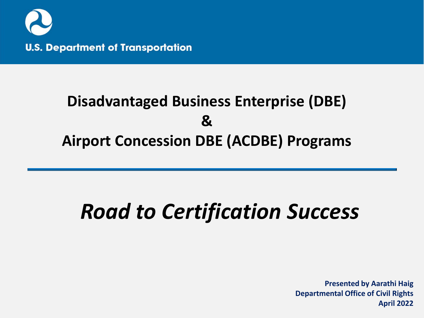

#### **Disadvantaged Business Enterprise (DBE) & Airport Concession DBE (ACDBE) Programs**

# *Road to Certification Success*

**Presented by Aarathi Haig Departmental Office of Civil Rights April 2022**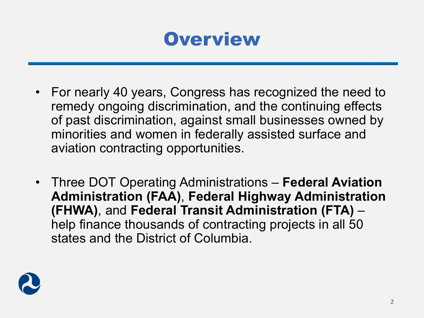#### **Overview**

- For nearly 40 years, Congress has recognized the need to remedy ongoing discrimination, and the continuing effects of past discrimination, against small businesses owned by minorities and women in federally assisted surface and aviation contracting opportunities.
- Three DOT Operating Administrations **Federal Aviation Administration (FAA)**, **Federal Highway Administration (FHWA)**, and **Federal Transit Administration (FTA)** – help finance thousands of contracting projects in all 50 states and the District of Columbia.

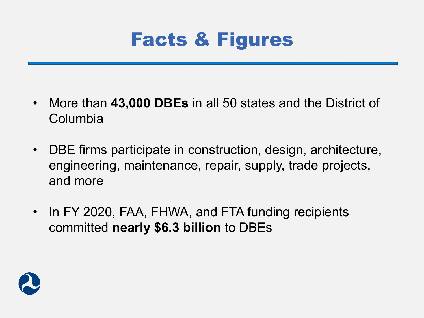

- More than **43,000 DBEs** in all 50 states and the District of Columbia
- DBE firms participate in construction, design, architecture, engineering, maintenance, repair, supply, trade projects, and more
- In FY 2020, FAA, FHWA, and FTA funding recipients committed **nearly \$6.3 billion** to DBEs

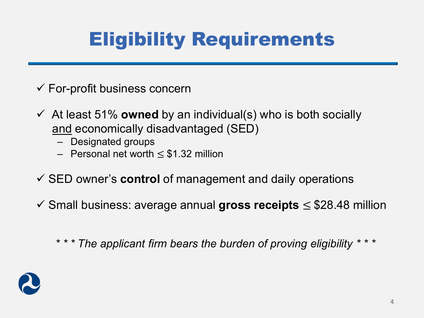## Eligibility Requirements

- $\checkmark$  For-profit business concern
- $\checkmark$  At least 51% **owned** by an individual(s) who is both socially and economically disadvantaged (SED)
	- Designated groups
	- Personal net worth ≤ \$1.32 million
- SED owner's **control** of management and daily operations
- Small business: average annual **gross receipts** ≤ \$28.48 million

*\* \* \* The applicant firm bears the burden of proving eligibility \* \* \**

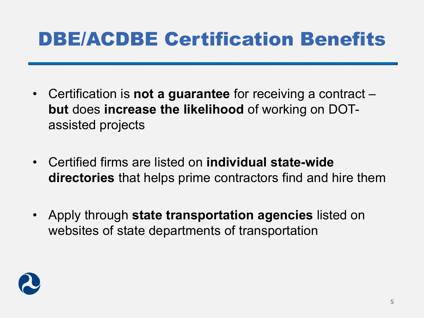### DBE/ACDBE Certification Benefits

- Certification is **not a guarantee** for receiving a contract **but** does **increase the likelihood** of working on DOTassisted projects
- Certified firms are listed on **individual state-wide directories** that helps prime contractors find and hire them
- Apply through **state transportation agencies** listed on websites of state departments of transportation

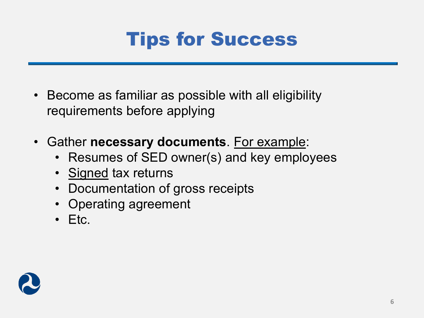

- Become as familiar as possible with all eligibility requirements before applying
- Gather **necessary documents**. For example:
	- Resumes of SED owner(s) and key employees
	- Signed tax returns
	- Documentation of gross receipts
	- Operating agreement
	- Etc.

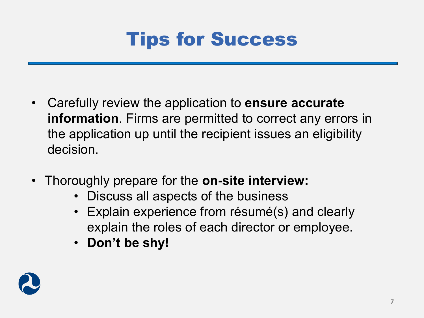

- Carefully review the application to **ensure accurate information**. Firms are permitted to correct any errors in the application up until the recipient issues an eligibility decision.
- Thoroughly prepare for the **on-site interview:**
	- Discuss all aspects of the business
	- Explain experience from résumé(s) and clearly explain the roles of each director or employee.
	- **Don't be shy!**

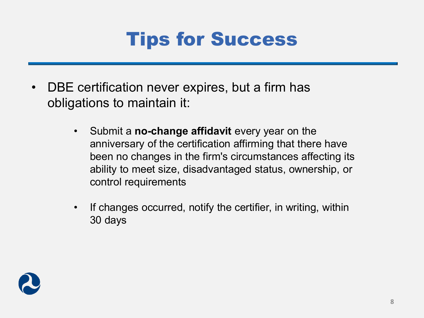

- DBE certification never expires, but a firm has obligations to maintain it:
	- Submit a **no-change affidavit** every year on the anniversary of the certification affirming that there have been no changes in the firm's circumstances affecting its ability to meet size, disadvantaged status, ownership, or control requirements
	- If changes occurred, notify the certifier, in writing, within 30 days